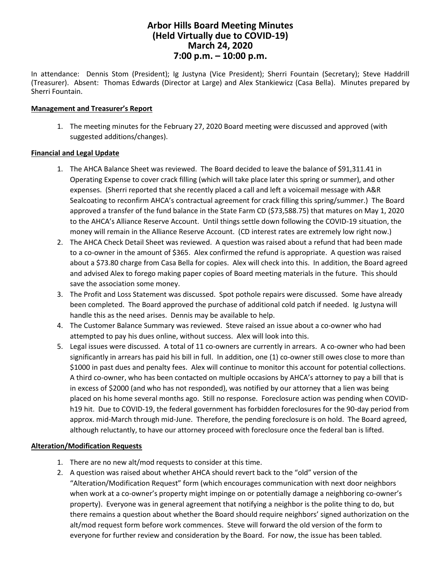# **Arbor Hills Board Meeting Minutes (Held Virtually due to COVID-19) March 24, 2020 7:00 p.m. – 10:00 p.m.**

In attendance: Dennis Stom (President); Ig Justyna (Vice President); Sherri Fountain (Secretary); Steve Haddrill (Treasurer). Absent: Thomas Edwards (Director at Large) and Alex Stankiewicz (Casa Bella). Minutes prepared by Sherri Fountain.

## **Management and Treasurer's Report**

1. The meeting minutes for the February 27, 2020 Board meeting were discussed and approved (with suggested additions/changes).

## **Financial and Legal Update**

- 1. The AHCA Balance Sheet was reviewed. The Board decided to leave the balance of \$91,311.41 in Operating Expense to cover crack filling (which will take place later this spring or summer), and other expenses. (Sherri reported that she recently placed a call and left a voicemail message with A&R Sealcoating to reconfirm AHCA's contractual agreement for crack filling this spring/summer.) The Board approved a transfer of the fund balance in the State Farm CD (\$73,588.75) that matures on May 1, 2020 to the AHCA's Alliance Reserve Account. Until things settle down following the COVID-19 situation, the money will remain in the Alliance Reserve Account. (CD interest rates are extremely low right now.)
- 2. The AHCA Check Detail Sheet was reviewed. A question was raised about a refund that had been made to a co-owner in the amount of \$365. Alex confirmed the refund is appropriate. A question was raised about a \$73.80 charge from Casa Bella for copies. Alex will check into this. In addition, the Board agreed and advised Alex to forego making paper copies of Board meeting materials in the future. This should save the association some money.
- 3. The Profit and Loss Statement was discussed. Spot pothole repairs were discussed. Some have already been completed. The Board approved the purchase of additional cold patch if needed. Ig Justyna will handle this as the need arises. Dennis may be available to help.
- 4. The Customer Balance Summary was reviewed. Steve raised an issue about a co-owner who had attempted to pay his dues online, without success. Alex will look into this.
- 5. Legal issues were discussed. A total of 11 co-owners are currently in arrears. A co-owner who had been significantly in arrears has paid his bill in full. In addition, one (1) co-owner still owes close to more than \$1000 in past dues and penalty fees. Alex will continue to monitor this account for potential collections. A third co-owner, who has been contacted on multiple occasions by AHCA's attorney to pay a bill that is in excess of \$2000 (and who has not responded), was notified by our attorney that a lien was being placed on his home several months ago. Still no response. Foreclosure action was pending when COVIDh19 hit. Due to COVID-19, the federal government has forbidden foreclosures for the 90-day period from approx. mid-March through mid-June. Therefore, the pending foreclosure is on hold. The Board agreed, although reluctantly, to have our attorney proceed with foreclosure once the federal ban is lifted.

# **Alteration/Modification Requests**

- 1. There are no new alt/mod requests to consider at this time.
- 2. A question was raised about whether AHCA should revert back to the "old" version of the "Alteration/Modification Request" form (which encourages communication with next door neighbors when work at a co-owner's property might impinge on or potentially damage a neighboring co-owner's property). Everyone was in general agreement that notifying a neighbor is the polite thing to do, but there remains a question about whether the Board should require neighbors' signed authorization on the alt/mod request form before work commences. Steve will forward the old version of the form to everyone for further review and consideration by the Board. For now, the issue has been tabled.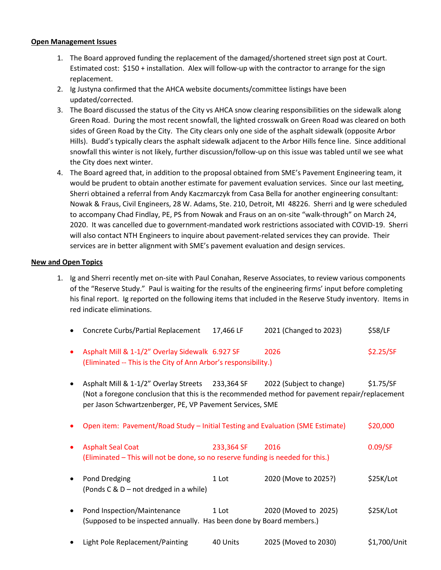#### **Open Management Issues**

- 1. The Board approved funding the replacement of the damaged/shortened street sign post at Court. Estimated cost: \$150 + installation. Alex will follow-up with the contractor to arrange for the sign replacement.
- 2. Ig Justyna confirmed that the AHCA website documents/committee listings have been updated/corrected.
- 3. The Board discussed the status of the City vs AHCA snow clearing responsibilities on the sidewalk along Green Road. During the most recent snowfall, the lighted crosswalk on Green Road was cleared on both sides of Green Road by the City. The City clears only one side of the asphalt sidewalk (opposite Arbor Hills). Budd's typically clears the asphalt sidewalk adjacent to the Arbor Hills fence line. Since additional snowfall this winter is not likely, further discussion/follow-up on this issue was tabled until we see what the City does next winter.
- 4. The Board agreed that, in addition to the proposal obtained from SME's Pavement Engineering team, it would be prudent to obtain another estimate for pavement evaluation services. Since our last meeting, Sherri obtained a referral from Andy Kaczmarczyk from Casa Bella for another engineering consultant: Nowak & Fraus, Civil Engineers, 28 W. Adams, Ste. 210, Detroit, MI 48226. Sherri and Ig were scheduled to accompany Chad Findlay, PE, PS from Nowak and Fraus on an on-site "walk-through" on March 24, 2020. It was cancelled due to government-mandated work restrictions associated with COVID-19. Sherri will also contact NTH Engineers to inquire about pavement-related services they can provide. Their services are in better alignment with SME's pavement evaluation and design services.

### **New and Open Topics**

1. Ig and Sherri recently met on-site with Paul Conahan, Reserve Associates, to review various components of the "Reserve Study." Paul is waiting for the results of the engineering firms' input before completing his final report. Ig reported on the following items that included in the Reserve Study inventory. Items in red indicate eliminations.

|  | Concrete Curbs/Partial Replacement | 17,466 LF | 2021 (Changed to 2023) | \$58/LF |
|--|------------------------------------|-----------|------------------------|---------|
|--|------------------------------------|-----------|------------------------|---------|

- Asphalt Mill & 1-1/2" Overlay Sidewalk 6.927 SF 2026 \$2.25/SF (Eliminated -- This is the City of Ann Arbor's responsibility.)
- Asphalt Mill & 1-1/2" Overlay Streets 233,364 SF 2022 (Subject to change) \$1.75/SF (Not a foregone conclusion that this is the recommended method for pavement repair/replacement per Jason Schwartzenberger, PE, VP Pavement Services, SME
- Open item: Pavement/Road Study Initial Testing and Evaluation (SME Estimate) \$20,000
- Asphalt Seal Coat 233,364 SF 2016 0.09/SF (Eliminated – This will not be done, so no reserve funding is needed for this.)
- Pond Dredging 1 Lot 2020 (Move to 2025?) \$25K/Lot (Ponds C & D – not dredged in a while)
- Pond Inspection/Maintenance 1 Lot 2020 (Moved to 2025) \$25K/Lot (Supposed to be inspected annually. Has been done by Board members.)
- Light Pole Replacement/Painting 40 Units 2025 (Moved to 2030) \$1,700/Unit